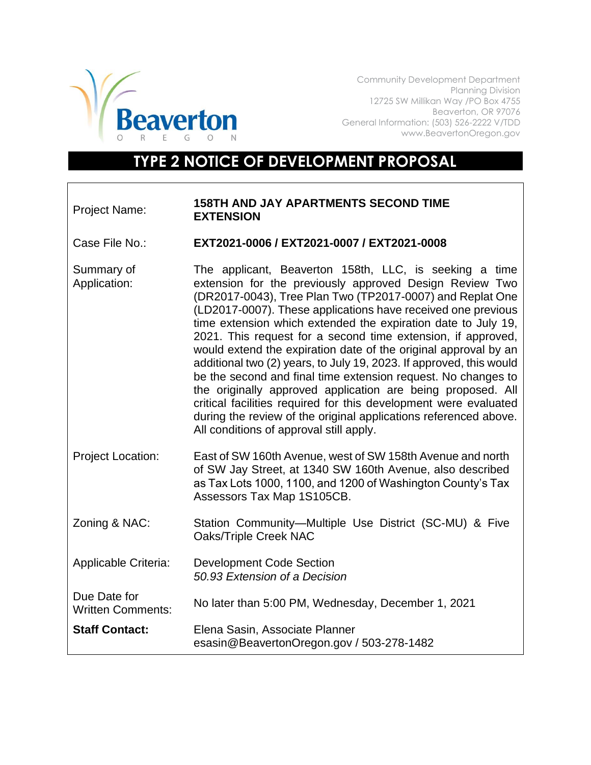

Community Development Department Planning Division 12725 SW Millikan Way /PO Box 4755 Beaverton, OR 97076 General Information: (503) 526-2222 V/TDD www.BeavertonOregon.gov

## **TYPE 2 NOTICE OF DEVELOPMENT PROPOSAL**

## Project Name: **158TH AND JAY APARTMENTS SECOND TIME EXTENSION**

Case File No.: **EXT2021-0006 / EXT2021-0007 / EXT2021-0008**

Summary of Application: The applicant, Beaverton 158th, LLC, is seeking a time extension for the previously approved Design Review Two (DR2017-0043), Tree Plan Two (TP2017-0007) and Replat One (LD2017-0007). These applications have received one previous time extension which extended the expiration date to July 19, 2021. This request for a second time extension, if approved, would extend the expiration date of the original approval by an additional two (2) years, to July 19, 2023. If approved, this would be the second and final time extension request. No changes to the originally approved application are being proposed. All critical facilities required for this development were evaluated during the review of the original applications referenced above. All conditions of approval still apply.

- Project Location: East of SW 160th Avenue, west of SW 158th Avenue and north of SW Jay Street, at 1340 SW 160th Avenue, also described as Tax Lots 1000, 1100, and 1200 of Washington County's Tax Assessors Tax Map 1S105CB.
- Zoning & NAC: Station Community—Multiple Use District (SC-MU) & Five Oaks/Triple Creek NAC
- Applicable Criteria: Development Code Section *50.93 Extension of a Decision*

Due Date for Written Comments: No later than 5:00 PM, Wednesday, December 1, 2021

**Staff Contact:** Elena Sasin, Associate Planner [esasin@BeavertonOregon.gov](mailto:esasin@BeavertonOregon.gov) / 503-278-1482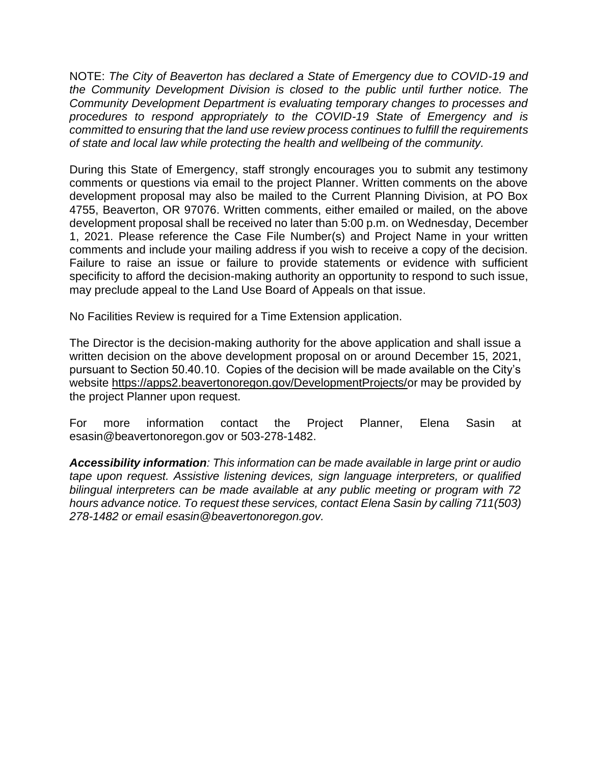NOTE: *The City of Beaverton has declared a State of Emergency due to COVID-19 and the Community Development Division is closed to the public until further notice. The Community Development Department is evaluating temporary changes to processes and procedures to respond appropriately to the COVID-19 State of Emergency and is committed to ensuring that the land use review process continues to fulfill the requirements of state and local law while protecting the health and wellbeing of the community.*

During this State of Emergency, staff strongly encourages you to submit any testimony comments or questions via email to the project Planner. Written comments on the above development proposal may also be mailed to the Current Planning Division, at PO Box 4755, Beaverton, OR 97076. Written comments, either emailed or mailed, on the above development proposal shall be received no later than 5:00 p.m. on Wednesday, December 1, 2021. Please reference the Case File Number(s) and Project Name in your written comments and include your mailing address if you wish to receive a copy of the decision. Failure to raise an issue or failure to provide statements or evidence with sufficient specificity to afford the decision-making authority an opportunity to respond to such issue, may preclude appeal to the Land Use Board of Appeals on that issue.

No Facilities Review is required for a Time Extension application.

The Director is the decision-making authority for the above application and shall issue a written decision on the above development proposal on or around December 15, 2021, pursuant to Section 50.40.10. Copies of the decision will be made available on the City's website https://apps2.beavertonoregon.gov/DevelopmentProjects/or may be provided by the project Planner upon request.

For more information contact the Project Planner, Elena Sasin at esasin@beavertonoregon.gov or 503-278-1482.

*Accessibility information: This information can be made available in large print or audio tape upon request. Assistive listening devices, sign language interpreters, or qualified bilingual interpreters can be made available at any public meeting or program with 72 hours advance notice. To request these services, contact Elena Sasin by calling 711(503) 278-1482 or email esasin@beavertonoregon.gov.*